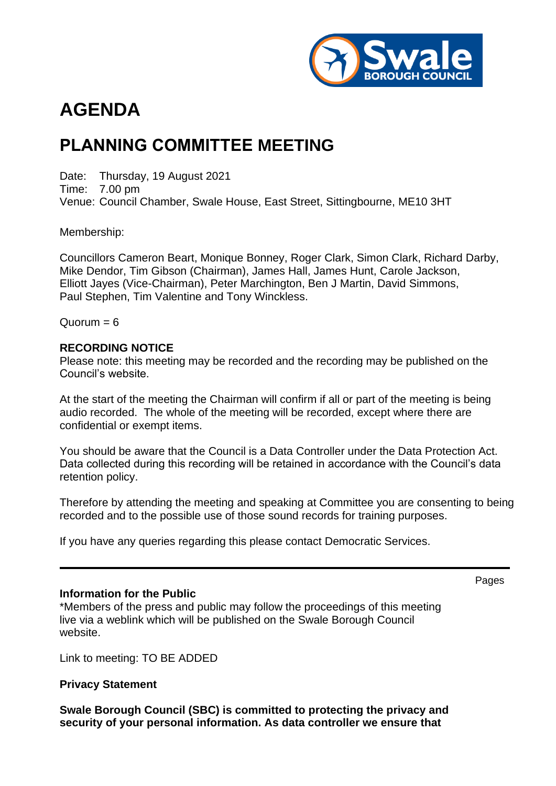

# **AGENDA**

## **PLANNING COMMITTEE MEETING**

Date: Thursday, 19 August 2021 Time: 7.00 pm Venue: Council Chamber, Swale House, East Street, Sittingbourne, ME10 3HT

Membership:

Councillors Cameron Beart, Monique Bonney, Roger Clark, Simon Clark, Richard Darby, Mike Dendor, Tim Gibson (Chairman), James Hall, James Hunt, Carole Jackson, Elliott Jayes (Vice-Chairman), Peter Marchington, Ben J Martin, David Simmons, Paul Stephen, Tim Valentine and Tony Winckless.

 $Quorum = 6$ 

#### **RECORDING NOTICE**

Please note: this meeting may be recorded and the recording may be published on the Council's website.

At the start of the meeting the Chairman will confirm if all or part of the meeting is being audio recorded. The whole of the meeting will be recorded, except where there are confidential or exempt items.

You should be aware that the Council is a Data Controller under the Data Protection Act. Data collected during this recording will be retained in accordance with the Council's data retention policy.

Therefore by attending the meeting and speaking at Committee you are consenting to being recorded and to the possible use of those sound records for training purposes.

If you have any queries regarding this please contact Democratic Services.

#### **Information for the Public**

\*Members of the press and public may follow the proceedings of this meeting live via a weblink which will be published on the Swale Borough Council website.

Link to meeting: TO BE ADDED

#### **Privacy Statement**

**Swale Borough Council (SBC) is committed to protecting the privacy and security of your personal information. As data controller we ensure that** 

Pages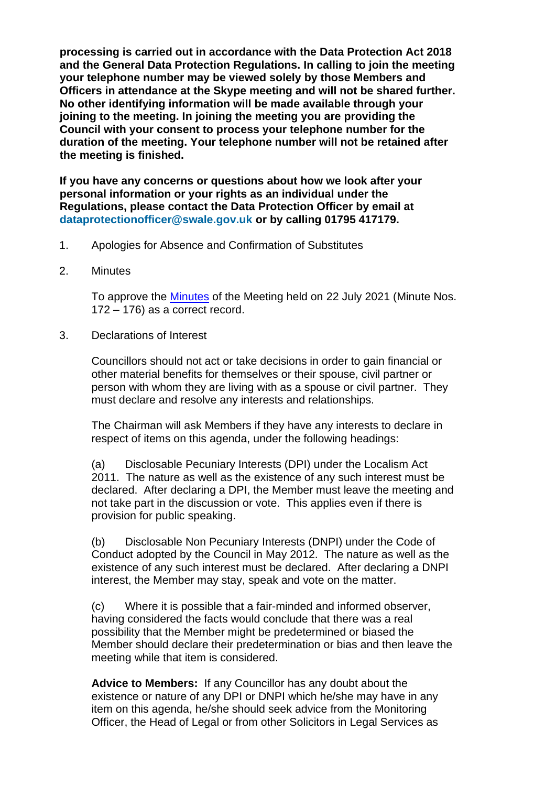**processing is carried out in accordance with the Data Protection Act 2018 and the General Data Protection Regulations. In calling to join the meeting your telephone number may be viewed solely by those Members and Officers in attendance at the Skype meeting and will not be shared further. No other identifying information will be made available through your joining to the meeting. In joining the meeting you are providing the Council with your consent to process your telephone number for the duration of the meeting. Your telephone number will not be retained after the meeting is finished.**

**If you have any concerns or questions about how we look after your personal information or your rights as an individual under the Regulations, please contact the Data Protection Officer by email at dataprotectionofficer@swale.gov.uk or by calling 01795 417179.**

- 1. Apologies for Absence and Confirmation of Substitutes
- 2. Minutes

To approve the [Minutes](https://services.swale.gov.uk/meetings/ieListDocuments.aspx?CId=130&MId=3574&Ver=4) of the Meeting held on 22 July 2021 (Minute Nos. 172 – 176) as a correct record.

3. Declarations of Interest

Councillors should not act or take decisions in order to gain financial or other material benefits for themselves or their spouse, civil partner or person with whom they are living with as a spouse or civil partner. They must declare and resolve any interests and relationships.

The Chairman will ask Members if they have any interests to declare in respect of items on this agenda, under the following headings:

(a) Disclosable Pecuniary Interests (DPI) under the Localism Act 2011. The nature as well as the existence of any such interest must be declared. After declaring a DPI, the Member must leave the meeting and not take part in the discussion or vote. This applies even if there is provision for public speaking.

(b) Disclosable Non Pecuniary Interests (DNPI) under the Code of Conduct adopted by the Council in May 2012. The nature as well as the existence of any such interest must be declared. After declaring a DNPI interest, the Member may stay, speak and vote on the matter.

(c) Where it is possible that a fair-minded and informed observer, having considered the facts would conclude that there was a real possibility that the Member might be predetermined or biased the Member should declare their predetermination or bias and then leave the meeting while that item is considered.

**Advice to Members:** If any Councillor has any doubt about the existence or nature of any DPI or DNPI which he/she may have in any item on this agenda, he/she should seek advice from the Monitoring Officer, the Head of Legal or from other Solicitors in Legal Services as